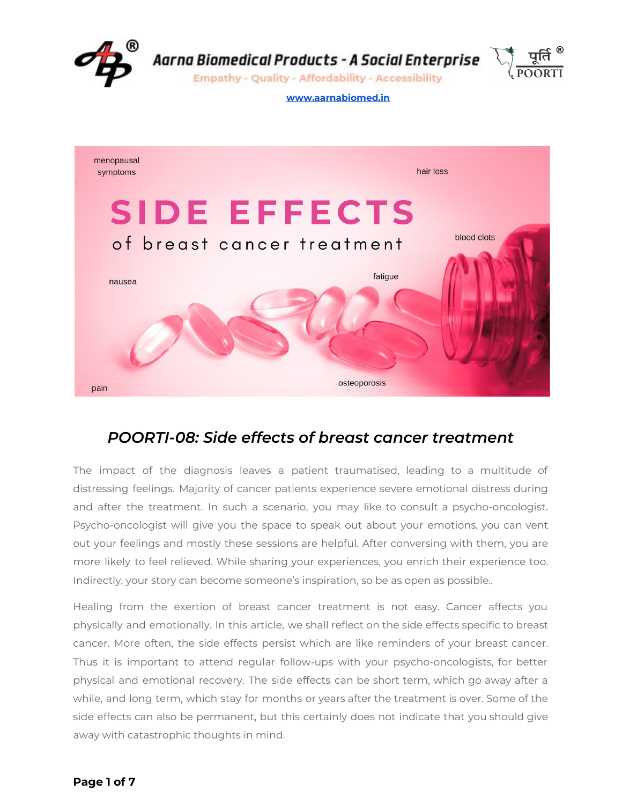



## *POORTI-08: Side effects of breast cancer treatment*

The impact of the diagnosis leaves a patient traumatised, leading to a multitude of distressing feelings. Majority of cancer patients experience severe emotional distress during and after the treatment. In such a scenario, you may like to consult a psycho-oncologist. Psycho-oncologist will give you the space to speak out about your emotions, you can vent out your feelings and mostly these sessions are helpful. After conversing with them, you are more likely to feel relieved. While sharing your experiences, you enrich their experience too. Indirectly, your story can become someone's inspiration, so be as open as possible..

Healing from the exertion of breast cancer treatment is not easy. Cancer affects you physically and emotionally. In this article, we shall reflect on the side effects specific to breast cancer. More often, the side effects persist which are like reminders of your breast cancer. Thus it is important to attend regular follow-ups with your psycho-oncologists, for better physical and emotional recovery. The side effects can be short term, which go away after a while, and long term, which stay for months or years after the treatment is over. Some of the side effects can also be permanent, but this certainly does not indicate that you should give away with catastrophic thoughts in mind.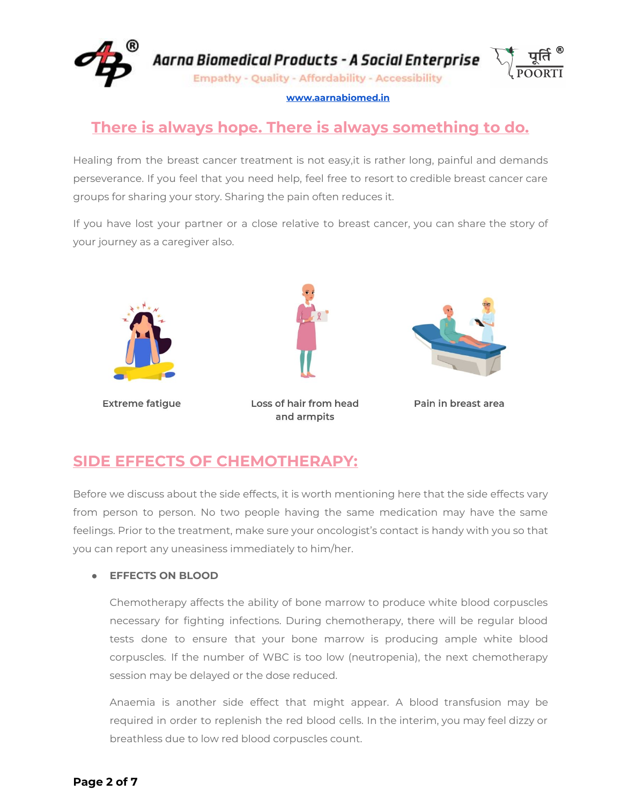

# **There is always hope. There is always something to do.**

Healing from the breast cancer treatment is not easy,it is rather long, painful and demands perseverance. If you feel that you need help, feel free to resort to credible breast cancer care groups for sharing your story. Sharing the pain often reduces it.

If you have lost your partner or a close relative to breast cancer, you can share the story of your journey as a caregiver also.



**Extreme fatigue** 



Loss of hair from head and armpits



Pain in breast area

## **SIDE EFFECTS OF CHEMOTHERAPY:**

Before we discuss about the side effects, it is worth mentioning here that the side effects vary from person to person. No two people having the same medication may have the same feelings. Prior to the treatment, make sure your oncologist's contact is handy with you so that you can report any uneasiness immediately to him/her.

## **● EFFECTS ON BLOOD**

Chemotherapy affects the ability of bone marrow to produce white blood corpuscles necessary for fighting infections. During chemotherapy, there will be regular blood tests done to ensure that your bone marrow is producing ample white blood corpuscles. If the number of WBC is too low (neutropenia), the next chemotherapy session may be delayed or the dose reduced.

Anaemia is another side effect that might appear. A blood transfusion may be required in order to replenish the red blood cells. In the interim, you may feel dizzy or breathless due to low red blood corpuscles count.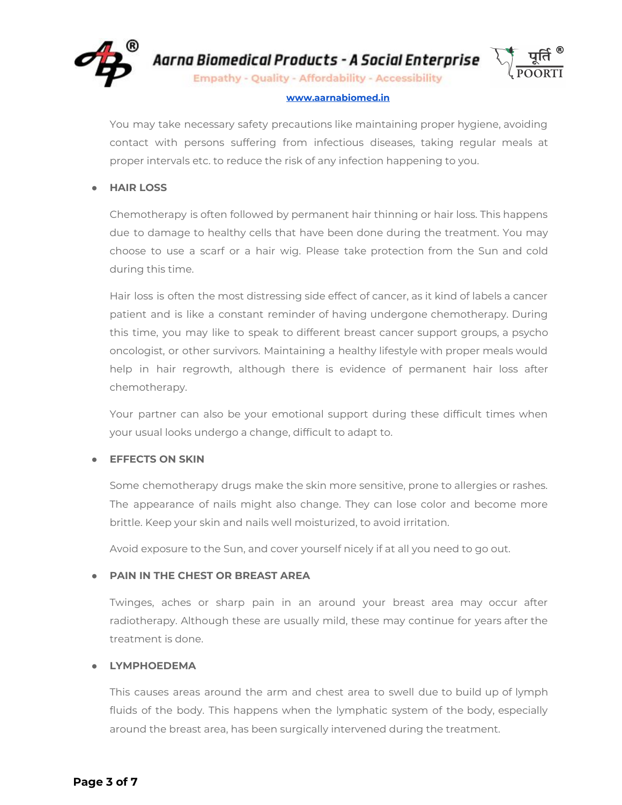

Aarna Biomedical Products - A Social Enterprise

**Empathy - Quality - Affordability - Accessibility** 

#### **[www.aarnabiomed.in](http://www.aarnabiomed.in/)**

You may take necessary safety precautions like maintaining proper hygiene, avoiding contact with persons suffering from infectious diseases, taking regular meals at proper intervals etc. to reduce the risk of any infection happening to you.

## **● HAIR LOSS**

Chemotherapy is often followed by permanent hair thinning or hair loss. This happens due to damage to healthy cells that have been done during the treatment. You may choose to use a scarf or a hair wig. Please take protection from the Sun and cold during this time.

Hair loss is often the most distressing side effect of cancer, as it kind of labels a cancer patient and is like a constant reminder of having undergone chemotherapy. During this time, you may like to speak to different breast cancer support groups, a psycho oncologist, or other survivors. Maintaining a healthy lifestyle with proper meals would help in hair regrowth, although there is evidence of permanent hair loss after chemotherapy.

Your partner can also be your emotional support during these difficult times when your usual looks undergo a change, difficult to adapt to.

## **● EFFECTS ON SKIN**

Some chemotherapy drugs make the skin more sensitive, prone to allergies or rashes. The appearance of nails might also change. They can lose color and become more brittle. Keep your skin and nails well moisturized, to avoid irritation.

Avoid exposure to the Sun, and cover yourself nicely if at all you need to go out.

## **● PAIN IN THE CHEST OR BREAST AREA**

Twinges, aches or sharp pain in an around your breast area may occur after radiotherapy. Although these are usually mild, these may continue for years after the treatment is done.

## **● LYMPHOEDEMA**

This causes areas around the arm and chest area to swell due to build up of lymph fluids of the body. This happens when the lymphatic system of the body, especially around the breast area, has been surgically intervened during the treatment.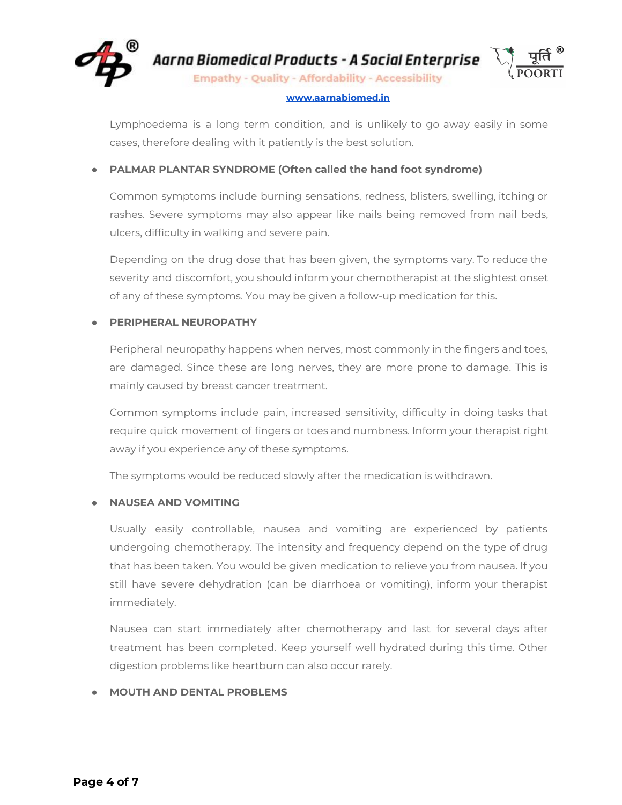

Aarna Biomedical Products - A Social Enterprise

**Empathy - Quality - Affordability - Accessibility** 

#### **[www.aarnabiomed.in](http://www.aarnabiomed.in/)**

Lymphoedema is a long term condition, and is unlikely to go away easily in some cases, therefore dealing with it patiently is the best solution.

## **● PALMAR PLANTAR SYNDROME (Often called the hand foot syndrome)**

Common symptoms include burning sensations, redness, blisters, swelling, itching or rashes. Severe symptoms may also appear like nails being removed from nail beds, ulcers, difficulty in walking and severe pain.

Depending on the drug dose that has been given, the symptoms vary. To reduce the severity and discomfort, you should inform your chemotherapist at the slightest onset of any of these symptoms. You may be given a follow-up medication for this.

## **● PERIPHERAL NEUROPATHY**

Peripheral neuropathy happens when nerves, most commonly in the fingers and toes, are damaged. Since these are long nerves, they are more prone to damage. This is mainly caused by breast cancer treatment.

Common symptoms include pain, increased sensitivity, difficulty in doing tasks that require quick movement of fingers or toes and numbness. Inform your therapist right away if you experience any of these symptoms.

The symptoms would be reduced slowly after the medication is withdrawn.

## **● NAUSEA AND VOMITING**

Usually easily controllable, nausea and vomiting are experienced by patients undergoing chemotherapy. The intensity and frequency depend on the type of drug that has been taken. You would be given medication to relieve you from nausea. If you still have severe dehydration (can be diarrhoea or vomiting), inform your therapist immediately.

Nausea can start immediately after chemotherapy and last for several days after treatment has been completed. Keep yourself well hydrated during this time. Other digestion problems like heartburn can also occur rarely.

## ● **MOUTH AND DENTAL PROBLEMS**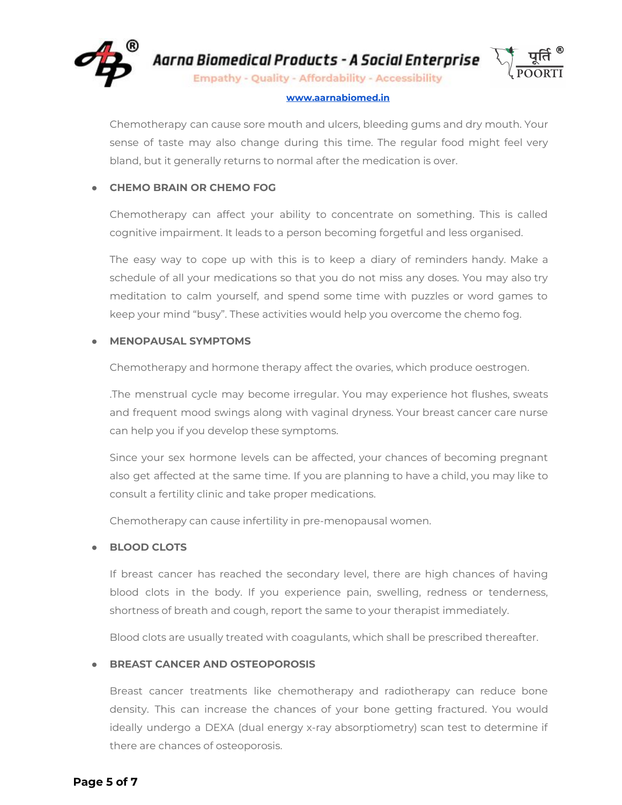

Chemotherapy can cause sore mouth and ulcers, bleeding gums and dry mouth. Your sense of taste may also change during this time. The regular food might feel very bland, but it generally returns to normal after the medication is over.

## ● **CHEMO BRAIN OR CHEMO FOG**

Chemotherapy can affect your ability to concentrate on something. This is called cognitive impairment. It leads to a person becoming forgetful and less organised.

The easy way to cope up with this is to keep a diary of reminders handy. Make a schedule of all your medications so that you do not miss any doses. You may also try meditation to calm yourself, and spend some time with puzzles or word games to keep your mind "busy". These activities would help you overcome the chemo fog.

## ● **MENOPAUSAL SYMPTOMS**

Chemotherapy and hormone therapy affect the ovaries, which produce oestrogen.

.The menstrual cycle may become irregular. You may experience hot flushes, sweats and frequent mood swings along with vaginal dryness. Your breast cancer care nurse can help you if you develop these symptoms.

Since your sex hormone levels can be affected, your chances of becoming pregnant also get affected at the same time. If you are planning to have a child, you may like to consult a fertility clinic and take proper medications.

Chemotherapy can cause infertility in pre-menopausal women.

## **● BLOOD CLOTS**

If breast cancer has reached the secondary level, there are high chances of having blood clots in the body. If you experience pain, swelling, redness or tenderness, shortness of breath and cough, report the same to your therapist immediately.

Blood clots are usually treated with coagulants, which shall be prescribed thereafter.

## **● BREAST CANCER AND OSTEOPOROSIS**

Breast cancer treatments like chemotherapy and radiotherapy can reduce bone density. This can increase the chances of your bone getting fractured. You would ideally undergo a DEXA (dual energy x-ray absorptiometry) scan test to determine if there are chances of osteoporosis.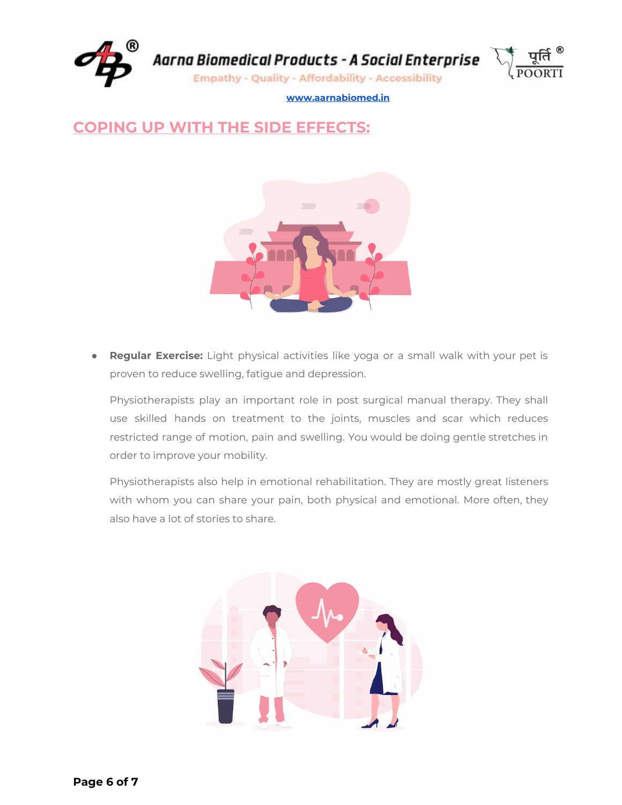

# **COPING UP WITH THE SIDE EFFECTS:**



**Regular Exercise:** Light physical activities like yoga or a small walk with your pet is proven to reduce swelling, fatigue and depression.

Physiotherapists play an important role in post surgical manual therapy. They shall use skilled hands on treatment to the joints, muscles and scar which reduces restricted range of motion, pain and swelling. You would be doing gentle stretches in order to improve your mobility.

Physiotherapists also help in emotional rehabilitation. They are mostly great listeners with whom you can share your pain, both physical and emotional. More often, they also have a lot of stories to share.